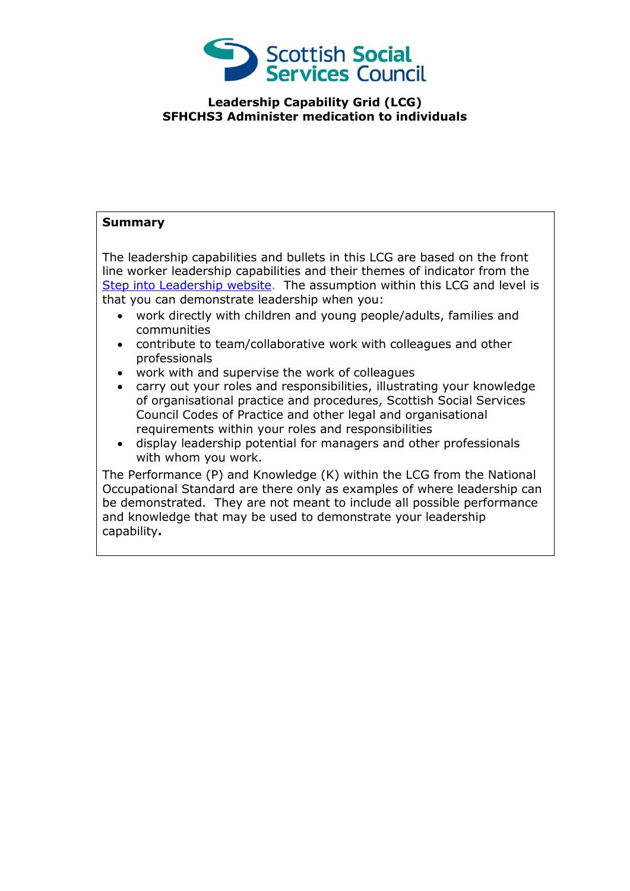

## **Leadership Capability Grid (LCG) SFHCHS3 Administer medication to individuals**

## **Summary**

The leadership capabilities and bullets in this LCG are based on the front line worker leadership capabilities and their themes of indicator from the [Step into Leadership website.](http://www.stepintoleadership.info/) The assumption within this LCG and level is that you can demonstrate leadership when you:

- work directly with children and young people/adults, families and communities
- contribute to team/collaborative work with colleagues and other professionals
- work with and supervise the work of colleagues
- carry out your roles and responsibilities, illustrating your knowledge of organisational practice and procedures, Scottish Social Services Council Codes of Practice and other legal and organisational requirements within your roles and responsibilities
- display leadership potential for managers and other professionals with whom you work.

The Performance (P) and Knowledge (K) within the LCG from the National Occupational Standard are there only as examples of where leadership can be demonstrated. They are not meant to include all possible performance and knowledge that may be used to demonstrate your leadership capability**.**